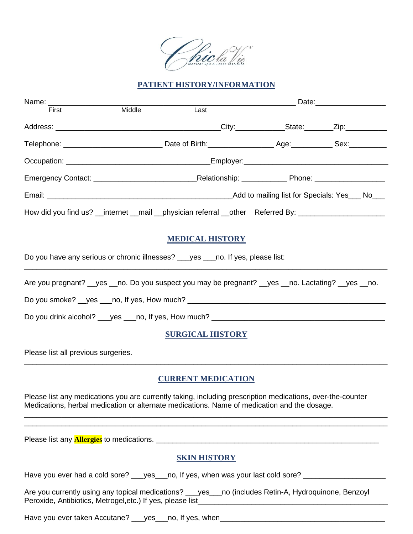

## **PATIENT HISTORY/INFORMATION**

| First                                                                              | Middle | Last                                                                                                                                                                                                      |  |  |  |
|------------------------------------------------------------------------------------|--------|-----------------------------------------------------------------------------------------------------------------------------------------------------------------------------------------------------------|--|--|--|
|                                                                                    |        |                                                                                                                                                                                                           |  |  |  |
|                                                                                    |        |                                                                                                                                                                                                           |  |  |  |
|                                                                                    |        |                                                                                                                                                                                                           |  |  |  |
|                                                                                    |        |                                                                                                                                                                                                           |  |  |  |
|                                                                                    |        |                                                                                                                                                                                                           |  |  |  |
|                                                                                    |        | How did you find us? __internet __mail __physician referral __other Referred By: ___________________                                                                                                      |  |  |  |
|                                                                                    |        | <b>MEDICAL HISTORY</b>                                                                                                                                                                                    |  |  |  |
| Do you have any serious or chronic illnesses? ___ yes ___ no. If yes, please list: |        |                                                                                                                                                                                                           |  |  |  |
|                                                                                    |        | Are you pregnant? yes no. Do you suspect you may be pregnant? yes no. Lactating? yes no.                                                                                                                  |  |  |  |
|                                                                                    |        | Do you smoke? __yes ___no, If yes, How much? ___________________________________                                                                                                                          |  |  |  |
|                                                                                    |        |                                                                                                                                                                                                           |  |  |  |
|                                                                                    |        | <b>SURGICAL HISTORY</b>                                                                                                                                                                                   |  |  |  |
| Please list all previous surgeries.                                                |        |                                                                                                                                                                                                           |  |  |  |
|                                                                                    |        | <b>CURRENT MEDICATION</b>                                                                                                                                                                                 |  |  |  |
|                                                                                    |        | Please list any medications you are currently taking, including prescription medications, over-the-counter<br>Medications, herbal medication or alternate medications. Name of medication and the dosage. |  |  |  |
|                                                                                    |        |                                                                                                                                                                                                           |  |  |  |

Please list any **Allergies** to medications. \_\_\_\_\_\_\_\_\_\_\_\_\_\_\_\_\_\_\_\_\_\_\_\_\_\_\_\_\_\_\_\_\_\_\_\_\_\_\_\_\_\_\_\_\_\_\_\_\_\_\_\_\_\_

## **SKIN HISTORY**

Have you ever had a cold sore? \_\_\_yes\_\_\_no, If yes, when was your last cold sore? \_\_\_\_\_\_\_\_\_\_\_\_\_\_\_\_\_\_

Are you currently using any topical medications? \_\_\_yes\_\_no (includes Retin-A, Hydroquinone, Benzoyl Peroxide, Antibiotics, Metrogel,etc.) If yes, please list\_\_\_\_\_\_\_\_\_\_\_\_\_\_\_\_\_\_\_\_\_\_\_\_\_\_\_\_\_\_\_\_\_\_\_\_\_\_\_\_\_\_\_\_\_\_

Have you ever taken Accutane? \_\_\_yes\_\_\_no, If yes, when\_\_\_\_\_\_\_\_\_\_\_\_\_\_\_\_\_\_\_\_\_\_\_\_\_